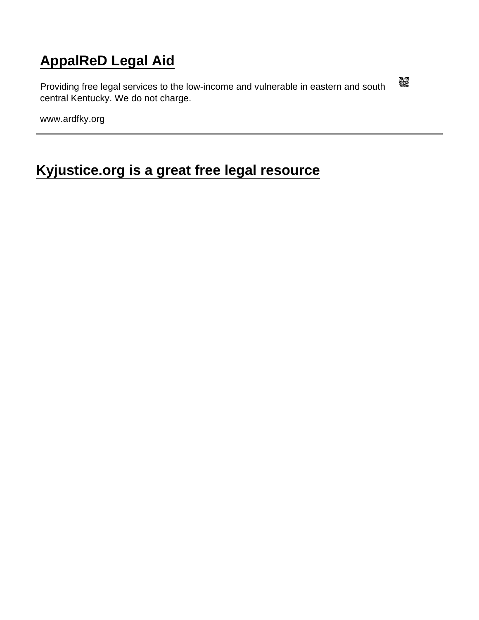## [AppalReD Legal Aid](https://www.ardfky.org/)

Providing free legal services to the low-income and vulnerable in eastern and south central Kentucky. We do not charge.

www.ardfky.org

[Kyjustice.org is a great free legal resource](https://www.ardfky.org/node/424/kyjusticeorg-great-free-legal-resource)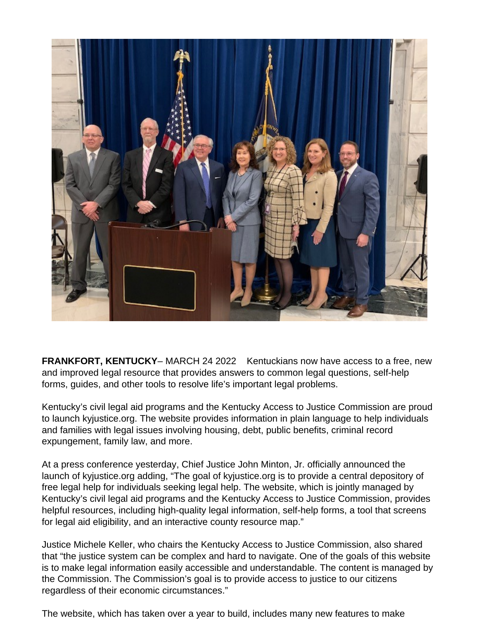

**FRANKFORT, KENTUCKY**– MARCH 24 2022 Kentuckians now have access to a free, new and improved legal resource that provides answers to common legal questions, self-help forms, guides, and other tools to resolve life's important legal problems.

Kentucky's civil legal aid programs and the Kentucky Access to Justice Commission are proud to launch kyjustice.org. The website provides information in plain language to help individuals and families with legal issues involving housing, debt, public benefits, criminal record expungement, family law, and more.

At a press conference yesterday, Chief Justice John Minton, Jr. officially announced the launch of kyjustice.org adding, "The goal of kyjustice.org is to provide a central depository of free legal help for individuals seeking legal help. The website, which is jointly managed by Kentucky's civil legal aid programs and the Kentucky Access to Justice Commission, provides helpful resources, including high-quality legal information, self-help forms, a tool that screens for legal aid eligibility, and an interactive county resource map."

Justice Michele Keller, who chairs the Kentucky Access to Justice Commission, also shared that "the justice system can be complex and hard to navigate. One of the goals of this website is to make legal information easily accessible and understandable. The content is managed by the Commission. The Commission's goal is to provide access to justice to our citizens regardless of their economic circumstances."

The website, which has taken over a year to build, includes many new features to make